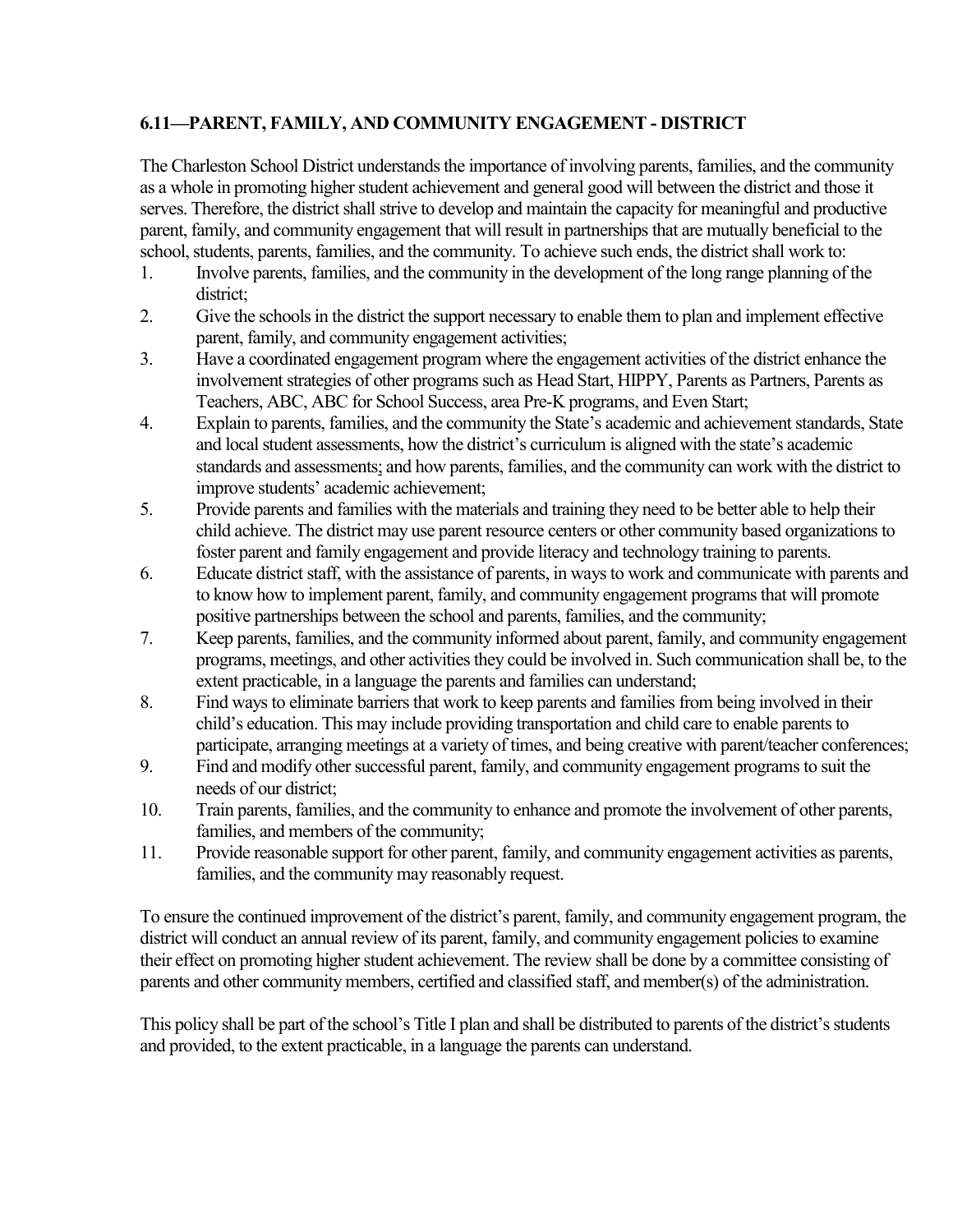## **6.11—PARENT, FAMILY, AND COMMUNITY ENGAGEMENT - DISTRICT**

The Charleston School District understands the importance of involving parents, families, and the community as a whole in promoting higher student achievement and general good will between the district and those it serves. Therefore, the district shall strive to develop and maintain the capacity for meaningful and productive parent, family, and community engagement that will result in partnerships that are mutually beneficial to the school, students, parents, families, and the community. To achieve such ends, the district shall work to:

- 1. Involve parents, families, and the community in the development of the long range planning of the district;
- 2. Give the schools in the district the support necessary to enable them to plan and implement effective parent, family, and community engagement activities;
- 3. Have a coordinated engagement program where the engagement activities of the district enhance the involvement strategies of other programs such as Head Start, HIPPY, Parents as Partners, Parents as Teachers, ABC, ABC for School Success, area Pre-K programs, and Even Start;
- 4. Explain to parents, families, and the community the State's academic and achievement standards, State and local student assessments, how the district's curriculum is aligned with the state's academic standards and assessments; and how parents, families, and the community can work with the district to improve students' academic achievement;
- 5. Provide parents and families with the materials and training they need to be better able to help their child achieve. The district may use parent resource centers or other community based organizations to foster parent and family engagement and provide literacy and technology training to parents.
- 6. Educate district staff, with the assistance of parents, in ways to work and communicate with parents and to know how to implement parent, family, and community engagement programs that will promote positive partnerships between the school and parents, families, and the community;
- 7. Keep parents, families, and the community informed about parent, family, and community engagement programs, meetings, and other activities they could be involved in. Such communication shall be, to the extent practicable, in a language the parents and families can understand;
- 8. Find ways to eliminate barriers that work to keep parents and families from being involved in their child's education. This may include providing transportation and child care to enable parents to participate, arranging meetings at a variety of times, and being creative with parent/teacher conferences;
- 9. Find and modify other successful parent, family, and community engagement programs to suit the needs of our district;
- 10. Train parents, families, and the community to enhance and promote the involvement of other parents, families, and members of the community;
- 11. Provide reasonable support for other parent, family, and community engagement activities as parents, families, and the community may reasonably request.

To ensure the continued improvement of the district's parent, family, and community engagement program, the district will conduct an annual review of its parent, family, and community engagement policies to examine their effect on promoting higher student achievement. The review shall be done by a committee consisting of parents and other community members, certified and classified staff, and member(s) of the administration.

This policy shall be part of the school's Title I plan and shall be distributed to parents of the district's students and provided, to the extent practicable, in a language the parents can understand.